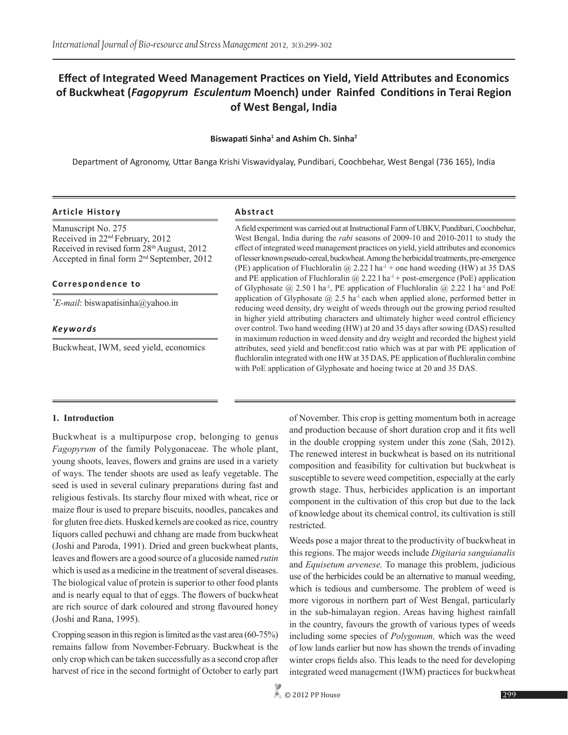# **Effect of Integrated Weed Management Practices on Yield, Yield Attributes and Economics of Buckwheat (***Fagopyrum Esculentum* **Moench) under Rainfed Conditions in Terai Region of West Bengal, India**

#### **Biswapati Sinha<sup>1</sup> and Ashim Ch. Sinha<sup>2</sup>**

Department of Agronomy, Uttar Banga Krishi Viswavidyalay, Pundibari, Coochbehar, West Bengal (736 165), India

# **Article History Abstract**

Manuscript No. 275 Received in 22nd February, 2012 Received in revised form 28th August, 2012 Accepted in final form 2nd September, 2012

# **Correspondence to**

*\* E-mail*: biswapatisinha@yahoo.in

# *Keywords*

Buckwheat, IWM, seed yield, economics

A field experiment was carried out at Instructional Farm of UBKV, Pundibari, Coochbehar, West Bengal, India during the *rabi* seasons of 2009-10 and 2010-2011 to study the effect of integrated weed management practices on yield, yield attributes and economics of lesser known pseudo-cereal, buckwheat. Among the herbicidal treatments, pre-emergence (PE) application of Fluchloralin @ 2.22 l ha<sup>-1</sup> + one hand weeding (HW) at 35 DAS and PE application of Fluchloralin  $@$  2.22 l ha<sup>-1</sup> + post-emergence (PoE) application of Glyphosate  $\omega$  2.50 l ha<sup>-1</sup>, PE application of Fluchloralin  $\omega$  2.22 l ha<sup>-1</sup> and PoE application of Glyphosate  $\omega$  2.5 ha<sup>-1</sup> each when applied alone, performed better in reducing weed density, dry weight of weeds through out the growing period resulted in higher yield attributing characters and ultimately higher weed control efficiency over control. Two hand weeding (HW) at 20 and 35 days after sowing (DAS) resulted in maximum reduction in weed density and dry weight and recorded the highest yield attributes, seed yield and benefit:cost ratio which was at par with PE application of fluchloralin integrated with one HW at 35 DAS, PE application of fluchloralin combine with PoE application of Glyphosate and hoeing twice at 20 and 35 DAS.

# **1. Introduction**

Buckwheat is a multipurpose crop, belonging to genus *Fagopyrum* of the family Polygonaceae. The whole plant, young shoots, leaves, flowers and grains are used in a variety of ways. The tender shoots are used as leafy vegetable. The seed is used in several culinary preparations during fast and religious festivals. Its starchy flour mixed with wheat, rice or maize flour is used to prepare biscuits, noodles, pancakes and for gluten free diets. Husked kernels are cooked as rice, country Iiquors called pechuwi and chhang are made from buckwheat (Joshi and Paroda, 1991). Dried and green buckwheat plants, leaves and flowers are a good source of a glucoside named *rutin* which is used as a medicine in the treatment of several diseases. The biological value of protein is superior to other food plants and is nearly equal to that of eggs. The flowers of buckwheat are rich source of dark coloured and strong flavoured honey (Joshi and Rana, 1995).

Cropping season in this region is limited as the vast area (60-75%) remains fallow from November-February. Buckwheat is the only crop which can be taken successfully as a second crop after harvest of rice in the second fortnight of October to early part of November. This crop is getting momentum both in acreage and production because of short duration crop and it fits well in the double cropping system under this zone (Sah, 2012). The renewed interest in buckwheat is based on its nutritional composition and feasibility for cultivation but buckwheat is susceptible to severe weed competition, especially at the early growth stage. Thus, herbicides application is an important component in the cultivation of this crop but due to the lack of knowledge about its chemical control, its cultivation is still restricted.

Weeds pose a major threat to the productivity of buckwheat in this regions. The major weeds include *Digitaria sanguianalis*  and *Equisetum arvenese.* To manage this problem, judicious use of the herbicides could be an alternative to manual weeding, which is tedious and cumbersome. The problem of weed is more vigorous in northern part of West Bengal, particularly in the sub-himalayan region. Areas having highest rainfall in the country, favours the growth of various types of weeds including some species of *Polygonum,* which was the weed of low lands earlier but now has shown the trends of invading winter crops fields also. This leads to the need for developing integrated weed management (IWM) practices for buckwheat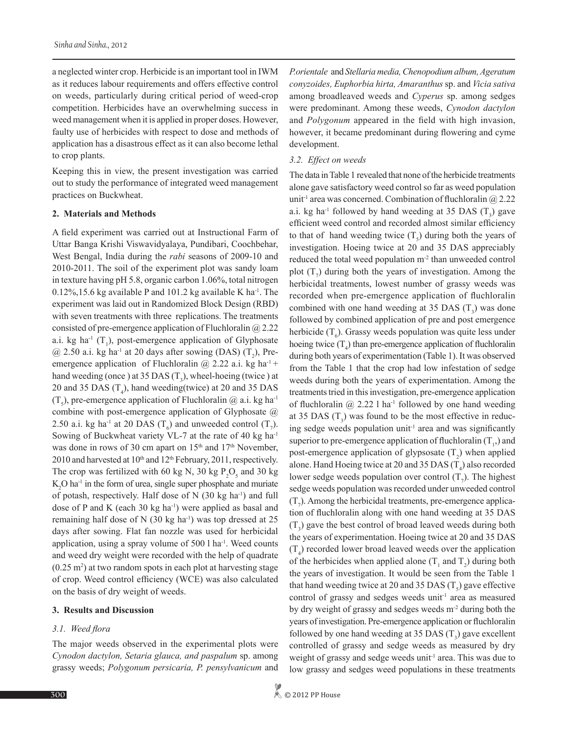a neglected winter crop. Herbicide is an important tool in IWM as it reduces labour requirements and offers effective control on weeds, particularly during critical period of weed-crop competition. Herbicides have an overwhelming success in weed management when it is applied in proper doses. However, faulty use of herbicides with respect to dose and methods of application has a disastrous effect as it can also become lethal to crop plants.

Keeping this in view, the present investigation was carried out to study the performance of integrated weed management practices on Buckwheat.

#### **2. Materials and Methods**

A field experiment was carried out at Instructional Farm of Uttar Banga Krishi Viswavidyalaya, Pundibari, Coochbehar, West Bengal, India during the *rabi* seasons of 2009-10 and 2010-2011. The soil of the experiment plot was sandy loam in texture having pH 5.8, organic carbon 1.06%, total nitrogen  $0.12\%$ , 15.6 kg available P and 101.2 kg available K ha<sup>-1</sup>. The experiment was laid out in Randomized Block Design (RBD) with seven treatments with three replications. The treatments consisted of pre-emergence application of Fluchloralin  $\omega$  2.22 a.i. kg ha<sup>-1</sup>  $(T_1)$ , post-emergence application of Glyphosate  $\omega$  2.50 a.i. kg ha<sup>-1</sup> at 20 days after sowing (DAS) (T<sub>2</sub>), Preemergence application of Fluchloralin @ 2.22 a.i. kg ha<sup>-1</sup> + hand weeding (once) at 35 DAS  $(T_3)$ , wheel-hoeing (twice) at 20 and 35 DAS  $(T_4)$ , hand weeding(twice) at 20 and 35 DAS  $(T<sub>5</sub>)$ , pre-emergence application of Fluchloralin @ a.i. kg ha<sup>-1</sup> combine with post-emergence application of Glyphosate @ 2.50 a.i. kg ha<sup>-1</sup> at 20 DAS (T<sub>6</sub>) and unweeded control (T<sub>7</sub>). Sowing of Buckwheat variety VL-7 at the rate of 40 kg ha<sup>-1</sup> was done in rows of 30 cm apart on 15<sup>th</sup> and 17<sup>th</sup> November, 2010 and harvested at 10<sup>th</sup> and 12<sup>th</sup> February, 2011, respectively. The crop was fertilized with 60 kg N, 30 kg  $P_2O_5$  and 30 kg  $K_2O$  ha<sup>-1</sup> in the form of urea, single super phosphate and muriate of potash, respectively. Half dose of  $N$  (30 kg ha<sup>-1</sup>) and full dose of P and K (each 30 kg ha<sup>-1</sup>) were applied as basal and remaining half dose of N (30 kg ha<sup>-1</sup>) was top dressed at 25 days after sowing. Flat fan nozzle was used for herbicidal application, using a spray volume of 500 l ha-1. Weed counts and weed dry weight were recorded with the help of quadrate  $(0.25 \text{ m}^2)$  at two random spots in each plot at harvesting stage of crop. Weed control efficiency (WCE) was also calculated on the basis of dry weight of weeds.

# **3. Results and Discussion**

# *3.1. Weed flora*

The major weeds observed in the experimental plots were *Cynodon dactylon, Setaria glauca, and paspalum* sp. among grassy weeds; *Polygonum persicaria, P. pensylvanicum* and *P.orientale* and *Stellaria media, Chenopodium album, Ageratum conyzoides, Euphorbia hirta, Amaranthus* sp. and *Vicia sativa* among broadleaved weeds and *Cyperus* sp. among sedges were predominant. Among these weeds, *Cynodon dactylon* and *Polygonum* appeared in the field with high invasion, however, it became predominant during flowering and cyme development.

#### *3.2. Effect on weeds*

The data in Table 1 revealed that none of the herbicide treatments alone gave satisfactory weed control so far as weed population unit<sup>-1</sup> area was concerned. Combination of fluchloralin  $@$  2.22 a.i. kg ha<sup>-1</sup> followed by hand weeding at 35 DAS  $(T_3)$  gave efficient weed control and recorded almost similar efficiency to that of hand weeding twice  $(T<sub>5</sub>)$  during both the years of investigation. Hoeing twice at 20 and 35 DAS appreciably reduced the total weed population m<sup>-2</sup> than unweeded control plot  $(T_7)$  during both the years of investigation. Among the herbicidal treatments, lowest number of grassy weeds was recorded when pre-emergence application of fluchloralin combined with one hand weeding at 35 DAS  $(T_3)$  was done followed by combined application of pre and post emergence herbicide  $(T_6)$ . Grassy weeds population was quite less under hoeing twice  $(T_4)$  than pre-emergence application of fluchloralin during both years of experimentation (Table 1). It was observed from the Table 1 that the crop had low infestation of sedge weeds during both the years of experimentation. Among the treatments tried in this investigation, pre-emergence application of fluchloralin  $\omega$  2.22 l ha<sup>-1</sup> followed by one hand weeding at 35 DAS  $(T_3)$  was found to be the most effective in reducing sedge weeds population unit<sup>1</sup> area and was significantly superior to pre-emergence application of fluchloralin  $(T_1)$  and post-emergence application of glypsosate  $(T_2)$  when applied alone. Hand Hoeing twice at 20 and 35 DAS  $(T_4)$  also recorded lower sedge weeds population over control  $(T_7)$ . The highest sedge weeds population was recorded under unweeded control  $(T_7)$ . Among the herbicidal treatments, pre-emergence application of fluchloralin along with one hand weeding at 35 DAS  $(T_3)$  gave the best control of broad leaved weeds during both the years of experimentation. Hoeing twice at 20 and 35 DAS  $(T_4)$  recorded lower broad leaved weeds over the application of the herbicides when applied alone  $(T_1$  and  $T_2)$  during both the years of investigation. It would be seen from the Table 1 that hand weeding twice at 20 and 35 DAS  $(T<sub>s</sub>)$  gave effective control of grassy and sedges weeds unit<sup>-1</sup> area as measured by dry weight of grassy and sedges weeds m-2 during both the years of investigation. Pre-emergence application or fluchloralin followed by one hand weeding at  $35$  DAS  $(T_3)$  gave excellent controlled of grassy and sedge weeds as measured by dry weight of grassy and sedge weeds unit<sup>1</sup> area. This was due to low grassy and sedges weed populations in these treatments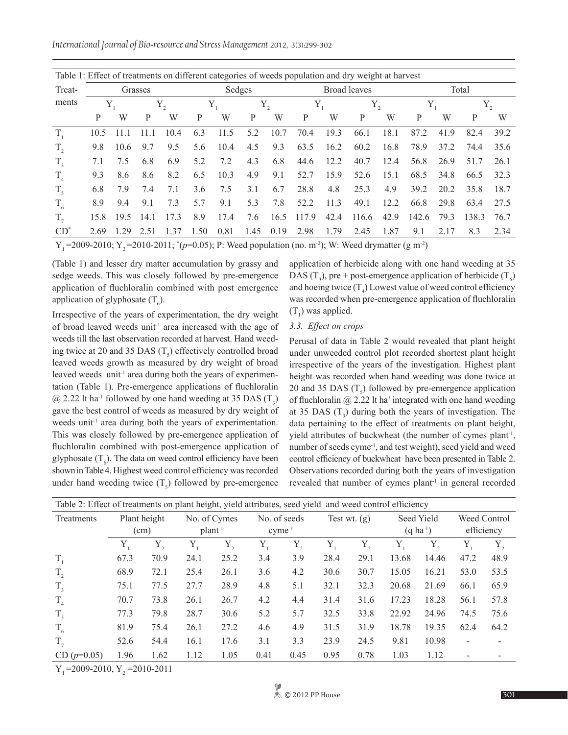*International Journal of Bio-resource and Stress Management* 2012, 3(3):299-302

| Table 1: Effect of treatments on different categories of weeds population and dry weight at harvest |         |      |      |      |        |      |      |              |       |      |       |       |       |      |                     |      |
|-----------------------------------------------------------------------------------------------------|---------|------|------|------|--------|------|------|--------------|-------|------|-------|-------|-------|------|---------------------|------|
| Treat-                                                                                              | Grasses |      |      |      | Sedges |      |      | Broad leaves |       |      |       | Total |       |      |                     |      |
| ments                                                                                               | Y       |      | Y,   |      |        |      | Y,   |              |       |      |       |       |       |      | v<br>$\mathbf{1}$ , |      |
|                                                                                                     | P       | W    | P    | W    | P      | W    | P    | W            | P     | W    | P     | W     | P     | W    | P                   | W    |
| Т,                                                                                                  | 10.5    | 11.1 | 11.1 | 10.4 | 6.3    | 11.5 | 5.2  | 10.7         | 70.4  | 19.3 | 66.1  | 18.1  | 87.2  | 41.9 | 82.4                | 39.2 |
| $T_{2}$                                                                                             | 9.8     | 10.6 | 9.7  | 9.5  | 5.6    | 10.4 | 4.5  | 9.3          | 63.5  | 16.2 | 60.2  | 16.8  | 78.9  | 37.2 | 74.4                | 35.6 |
| $T_{\rm a}$                                                                                         | 7.1     | 7.5  | 6.8  | 6.9  | 5.2    | 7.2  | 4.3  | 6.8          | 44.6  | 12.2 | 40.7  | 12.4  | 56.8  | 26.9 | 51.7                | 26.1 |
| $T_{\scriptscriptstyle A}$                                                                          | 9.3     | 8.6  | 8.6  | 8.2  | 6.5    | 10.3 | 4.9  | 9.1          | 52.7  | 15.9 | 52.6  | 15.1  | 68.5  | 34.8 | 66.5                | 32.3 |
| $T_{\zeta}$                                                                                         | 6.8     | 7.9  | 7.4  | 7.1  | 3.6    | 7.5  | 3.1  | 6.7          | 28.8  | 4.8  | 25.3  | 4.9   | 39.2  | 20.2 | 35.8                | 18.7 |
| $T_{6}$                                                                                             | 8.9     | 9.4  | 9.1  | 7.3  | 5.7    | 9.1  | 5.3  | 7.8          | 52.2  | 11.3 | 49.1  | 12.2  | 66.8  | 29.8 | 63.4                | 27.5 |
| $T_{7}$                                                                                             | 15.8    | 19.5 | 14.1 | 17.3 | 8.9    | 17.4 | 7.6  | 16.5         | 117.9 | 42.4 | 116.6 | 42.9  | 142.6 | 79.3 | 138.3               | 76.7 |
| $CD^*$                                                                                              | 2.69    | 1.29 | 2.51 | 1.37 | 1.50   | 0.81 | 1.45 | 0.19         | 2.98  | 1.79 | 2.45  | 1.87  | 9.1   | 2.17 | 8.3                 | 2.34 |

 $Y_1$ =2009-2010;  $Y_2$ =2010-2011;  $(p=0.05)$ ; P: Weed population (no. m<sup>-2</sup>); W: Weed drymatter (g m<sup>-2</sup>)

(Table 1) and lesser dry matter accumulation by grassy and sedge weeds. This was closely followed by pre-emergence application of fluchloralin combined with post emergence application of glyphosate  $(T_6)$ .

Irrespective of the years of experimentation, the dry weight of broad leaved weeds unit<sup>1</sup> area increased with the age of weeds till the last observation recorded at harvest. Hand weeding twice at 20 and 35 DAS  $(T<sub>s</sub>)$  effectively controlled broad leaved weeds growth as measured by dry weight of broad leaved weeds unit<sup> $1$ </sup> area during both the years of experimentation (Table 1). Pre-emergence applications of fluchloralin  $\omega$  2.22 lt ha<sup>-1</sup> followed by one hand weeding at 35 DAS  $(T_3)$ gave the best control of weeds as measured by dry weight of weeds unit<sup>-1</sup> area during both the years of experimentation. This was closely followed by pre-emergence application of fluchloralin combined with post-emergence application of glyphosate  $(T_6)$ . The data on weed control efficiency have been shown in Table 4. Highest weed control efficiency was recorded under hand weeding twice  $(T<sub>5</sub>)$  followed by pre-emergence

application of herbicide along with one hand weeding at 35 DAS (T<sub>3</sub>), pre + post-emergence application of herbicide (T<sub>6</sub>) and hoeing twice  $(T_4)$  Lowest value of weed control efficiency was recorded when pre-emergence application of fluchloralin  $(T_1)$  was applied.

# *3.3. Effect on crops*

Perusal of data in Table 2 would revealed that plant height under unweeded control plot recorded shortest plant height irrespective of the years of the investigation. Highest plant height was recorded when hand weeding was done twice at 20 and 35 DAS  $(T<sub>s</sub>)$  followed by pre-emergence application of fluchloralin  $\omega$  2.22 lt ha' integrated with one hand weeding at 35 DAS  $(T_3)$  during both the years of investigation. The data pertaining to the effect of treatments on plant height, yield attributes of buckwheat (the number of cymes plant-1, number of seeds cyme<sup>-1</sup>, and test weight), seed yield and weed control efficiency of buckwheat have been presented in Table 2. Observations recorded during both the years of investigation revealed that number of cymes plant<sup>-1</sup> in general recorded

| Table 2: Effect of treatments on plant height, yield attributes, seed yield and weed control efficiency |              |      |              |              |              |      |                |              |                       |       |              |              |
|---------------------------------------------------------------------------------------------------------|--------------|------|--------------|--------------|--------------|------|----------------|--------------|-----------------------|-------|--------------|--------------|
| Treatments                                                                                              | Plant height |      | No. of Cymes |              | No. of seeds |      | Test wt. $(g)$ |              | Seed Yield            |       | Weed Control |              |
|                                                                                                         | (cm)         |      | $plant^{-1}$ |              | $cyme^{-1}$  |      |                |              | $(q \text{ ha}^{-1})$ |       | efficiency   |              |
|                                                                                                         |              | Y,   |              | $Y_{\gamma}$ |              |      |                | $Y_{\alpha}$ | Y                     |       |              | $Y_{\alpha}$ |
| $T_{1}$                                                                                                 | 67.3         | 70.9 | 24.1         | 25.2         | 3.4          | 3.9  | 28.4           | 29.1         | 13.68                 | 14.46 | 47.2         | 48.9         |
| $T_{2}$                                                                                                 | 68.9         | 72.1 | 25.4         | 26.1         | 3.6          | 4.2  | 30.6           | 30.7         | 15.05                 | 16.21 | 53.0         | 53.5         |
| $T_{3}$                                                                                                 | 75.1         | 77.5 | 27.7         | 28.9         | 4.8          | 5.1  | 32.1           | 32.3         | 20.68                 | 21.69 | 66.1         | 65.9         |
| $T_{4}$                                                                                                 | 70.7         | 73.8 | 26.1         | 26.7         | 4.2          | 4.4  | 31.4           | 31.6         | 17.23                 | 18.28 | 56.1         | 57.8         |
| $T_{5}$                                                                                                 | 77.3         | 79.8 | 28.7         | 30.6         | 5.2          | 5.7  | 32.5           | 33.8         | 22.92                 | 24.96 | 74.5         | 75.6         |
| $T_{6}$                                                                                                 | 81.9         | 75.4 | 26.1         | 27.2         | 4.6          | 4.9  | 31.5           | 31.9         | 18.78                 | 19.35 | 62.4         | 64.2         |
| $T_{7}$                                                                                                 | 52.6         | 54.4 | 16.1         | 17.6         | 3.1          | 3.3  | 23.9           | 24.5         | 9.81                  | 10.98 | ۰            |              |
| $CD (p=0.05)$                                                                                           | 1.96         | 1.62 | 1.12         | 1.05         | 0.41         | 0.45 | 0.95           | 0.78         | 1.03                  | 1.12  |              |              |

 $Y_1$ =2009-2010,  $Y_2$ =2010-2011